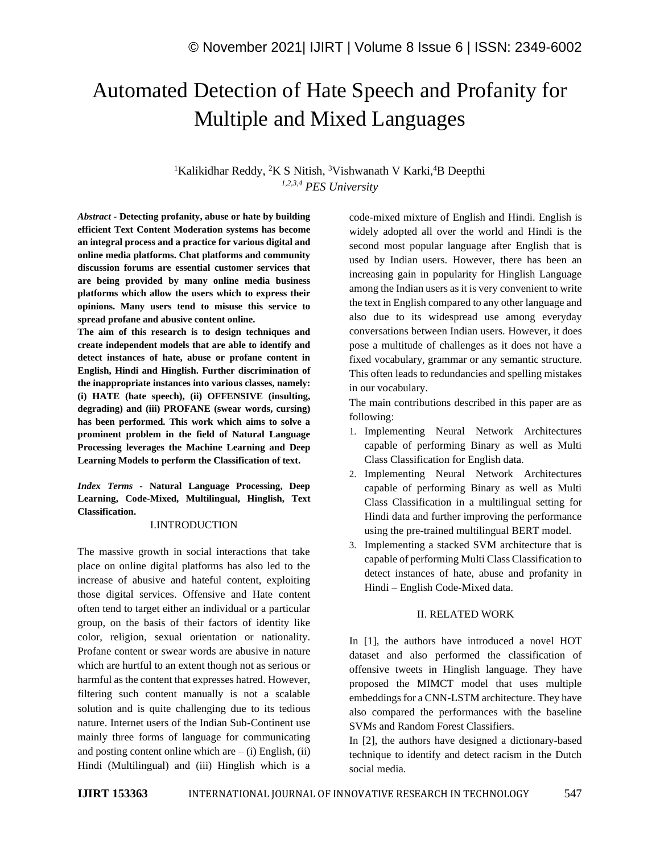# Automated Detection of Hate Speech and Profanity for Multiple and Mixed Languages

<sup>1</sup>Kalikidhar Reddy, <sup>2</sup>K S Nitish, <sup>3</sup>Vishwanath V Karki, <sup>4</sup>B Deepthi *1,2,3,4 PES University*

*Abstract -* **Detecting profanity, abuse or hate by building efficient Text Content Moderation systems has become an integral process and a practice for various digital and online media platforms. Chat platforms and community discussion forums are essential customer services that are being provided by many online media business platforms which allow the users which to express their opinions. Many users tend to misuse this service to spread profane and abusive content online.** 

**The aim of this research is to design techniques and create independent models that are able to identify and detect instances of hate, abuse or profane content in English, Hindi and Hinglish. Further discrimination of the inappropriate instances into various classes, namely: (i) HATE (hate speech), (ii) OFFENSIVE (insulting, degrading) and (iii) PROFANE (swear words, cursing) has been performed. This work which aims to solve a prominent problem in the field of Natural Language Processing leverages the Machine Learning and Deep Learning Models to perform the Classification of text.**

*Index Terms -* **Natural Language Processing, Deep Learning, Code-Mixed, Multilingual, Hinglish, Text Classification.**

## I.INTRODUCTION

The massive growth in social interactions that take place on online digital platforms has also led to the increase of abusive and hateful content, exploiting those digital services. Offensive and Hate content often tend to target either an individual or a particular group, on the basis of their factors of identity like color, religion, sexual orientation or nationality. Profane content or swear words are abusive in nature which are hurtful to an extent though not as serious or harmful as the content that expresses hatred. However, filtering such content manually is not a scalable solution and is quite challenging due to its tedious nature. Internet users of the Indian Sub-Continent use mainly three forms of language for communicating and posting content online which are  $-$  (i) English, (ii) Hindi (Multilingual) and (iii) Hinglish which is a code-mixed mixture of English and Hindi. English is widely adopted all over the world and Hindi is the second most popular language after English that is used by Indian users. However, there has been an increasing gain in popularity for Hinglish Language among the Indian users as it is very convenient to write the text in English compared to any other language and also due to its widespread use among everyday conversations between Indian users. However, it does pose a multitude of challenges as it does not have a fixed vocabulary, grammar or any semantic structure. This often leads to redundancies and spelling mistakes in our vocabulary.

The main contributions described in this paper are as following:

- 1. Implementing Neural Network Architectures capable of performing Binary as well as Multi Class Classification for English data.
- 2. Implementing Neural Network Architectures capable of performing Binary as well as Multi Class Classification in a multilingual setting for Hindi data and further improving the performance using the pre-trained multilingual BERT model.
- 3. Implementing a stacked SVM architecture that is capable of performing Multi Class Classification to detect instances of hate, abuse and profanity in Hindi – English Code-Mixed data.

## II. RELATED WORK

In [1], the authors have introduced a novel HOT dataset and also performed the classification of offensive tweets in Hinglish language. They have proposed the MIMCT model that uses multiple embeddings for a CNN-LSTM architecture. They have also compared the performances with the baseline SVMs and Random Forest Classifiers.

In [2], the authors have designed a dictionary-based technique to identify and detect racism in the Dutch social media.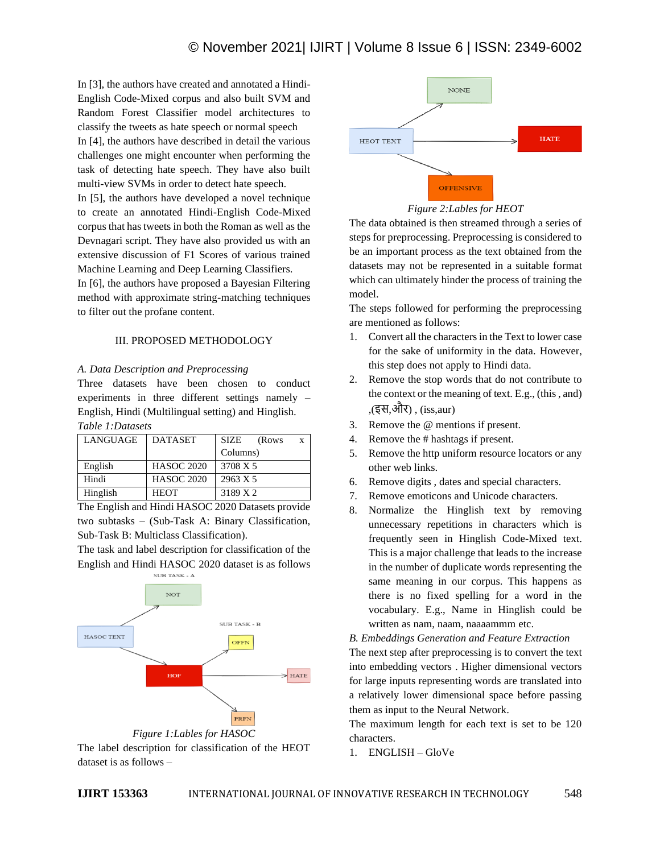In [3], the authors have created and annotated a Hindi-English Code-Mixed corpus and also built SVM and Random Forest Classifier model architectures to classify the tweets as hate speech or normal speech In [4], the authors have described in detail the various challenges one might encounter when performing the task of detecting hate speech. They have also built multi-view SVMs in order to detect hate speech.

In [5], the authors have developed a novel technique to create an annotated Hindi-English Code-Mixed corpus that has tweets in both the Roman as well as the Devnagari script. They have also provided us with an extensive discussion of F1 Scores of various trained Machine Learning and Deep Learning Classifiers.

In [6], the authors have proposed a Bayesian Filtering method with approximate string-matching techniques to filter out the profane content.

## III. PROPOSED METHODOLOGY

## *A. Data Description and Preprocessing*

Three datasets have been chosen to conduct experiments in three different settings namely – English, Hindi (Multilingual setting) and Hinglish.

| LANGUAGE | <b>DATASET</b>    | <b>SIZE</b><br>(Rows<br>X |
|----------|-------------------|---------------------------|
|          |                   | Columns)                  |
| English  | <b>HASOC 2020</b> | 3708 X 5                  |
| Hindi    | <b>HASOC 2020</b> | 2963 X 5                  |
| Hinglish | <b>HEOT</b>       | 3189 X 2                  |

The English and Hindi HASOC 2020 Datasets provide two subtasks – (Sub-Task A: Binary Classification, Sub-Task B: Multiclass Classification).

The task and label description for classification of the English and Hindi HASOC 2020 dataset is as follows







*Figure 2:Lables for HEOT*

The data obtained is then streamed through a series of steps for preprocessing. Preprocessing is considered to be an important process as the text obtained from the datasets may not be represented in a suitable format which can ultimately hinder the process of training the model.

The steps followed for performing the preprocessing are mentioned as follows:

- 1. Convert all the characters in the Text to lower case for the sake of uniformity in the data. However, this step does not apply to Hindi data.
- 2. Remove the stop words that do not contribute to the context or the meaning of text. E.g., (this , and) ,(इस,और) , (iss,aur)
- 3. Remove the @ mentions if present.
- 4. Remove the # hashtags if present.
- 5. Remove the http uniform resource locators or any other web links.
- 6. Remove digits , dates and special characters.
- 7. Remove emoticons and Unicode characters.
- 8. Normalize the Hinglish text by removing unnecessary repetitions in characters which is frequently seen in Hinglish Code-Mixed text. This is a major challenge that leads to the increase in the number of duplicate words representing the same meaning in our corpus. This happens as there is no fixed spelling for a word in the vocabulary. E.g., Name in Hinglish could be written as nam, naam, naaaammm etc.

*B. Embeddings Generation and Feature Extraction*

The next step after preprocessing is to convert the text into embedding vectors . Higher dimensional vectors for large inputs representing words are translated into a relatively lower dimensional space before passing them as input to the Neural Network.

The maximum length for each text is set to be 120 characters.

1. ENGLISH – GloVe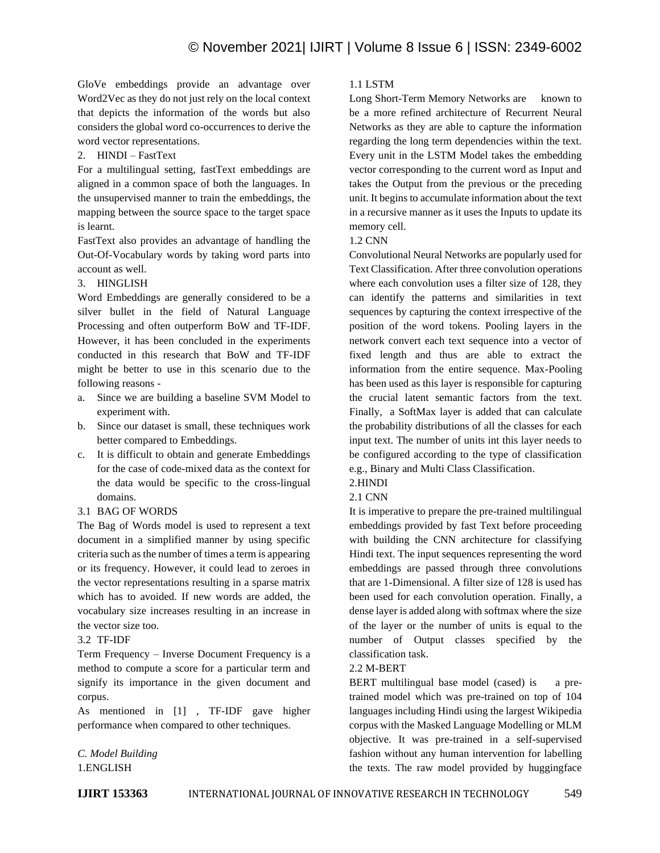GloVe embeddings provide an advantage over Word2Vec as they do not just rely on the local context that depicts the information of the words but also considers the global word co-occurrences to derive the word vector representations.

## 2. HINDI – FastText

For a multilingual setting, fastText embeddings are aligned in a common space of both the languages. In the unsupervised manner to train the embeddings, the mapping between the source space to the target space is learnt.

FastText also provides an advantage of handling the Out-Of-Vocabulary words by taking word parts into account as well.

# 3. HINGLISH

Word Embeddings are generally considered to be a silver bullet in the field of Natural Language Processing and often outperform BoW and TF-IDF. However, it has been concluded in the experiments conducted in this research that BoW and TF-IDF might be better to use in this scenario due to the following reasons -

- a. Since we are building a baseline SVM Model to experiment with.
- b. Since our dataset is small, these techniques work better compared to Embeddings.
- c. It is difficult to obtain and generate Embeddings for the case of code-mixed data as the context for the data would be specific to the cross-lingual domains.
- 3.1 BAG OF WORDS

The Bag of Words model is used to represent a text document in a simplified manner by using specific criteria such as the number of times a term is appearing or its frequency. However, it could lead to zeroes in the vector representations resulting in a sparse matrix which has to avoided. If new words are added, the vocabulary size increases resulting in an increase in the vector size too.

# 3.2 TF-IDF

Term Frequency – Inverse Document Frequency is a method to compute a score for a particular term and signify its importance in the given document and corpus.

As mentioned in [1] , TF-IDF gave higher performance when compared to other techniques.

*C. Model Building* 1.ENGLISH

# 1.1 LSTM

Long Short-Term Memory Networks are known to be a more refined architecture of Recurrent Neural Networks as they are able to capture the information regarding the long term dependencies within the text. Every unit in the LSTM Model takes the embedding vector corresponding to the current word as Input and takes the Output from the previous or the preceding unit. It begins to accumulate information about the text in a recursive manner as it uses the Inputs to update its memory cell.

## 1.2 CNN

Convolutional Neural Networks are popularly used for Text Classification. After three convolution operations where each convolution uses a filter size of 128, they can identify the patterns and similarities in text sequences by capturing the context irrespective of the position of the word tokens. Pooling layers in the network convert each text sequence into a vector of fixed length and thus are able to extract the information from the entire sequence. Max-Pooling has been used as this layer is responsible for capturing the crucial latent semantic factors from the text. Finally, a SoftMax layer is added that can calculate the probability distributions of all the classes for each input text. The number of units int this layer needs to be configured according to the type of classification e.g., Binary and Multi Class Classification.

# 2.HINDI

# 2.1 CNN

It is imperative to prepare the pre-trained multilingual embeddings provided by fast Text before proceeding with building the CNN architecture for classifying Hindi text. The input sequences representing the word embeddings are passed through three convolutions that are 1-Dimensional. A filter size of 128 is used has been used for each convolution operation. Finally, a dense layer is added along with softmax where the size of the layer or the number of units is equal to the number of Output classes specified by the classification task.

## 2.2 M-BERT

BERT multilingual base model (cased) is a pretrained model which was pre-trained on top of 104 languages including Hindi using the largest Wikipedia corpus with the Masked Language Modelling or MLM objective. It was pre-trained in a self-supervised fashion without any human intervention for labelling the texts. The raw model provided by huggingface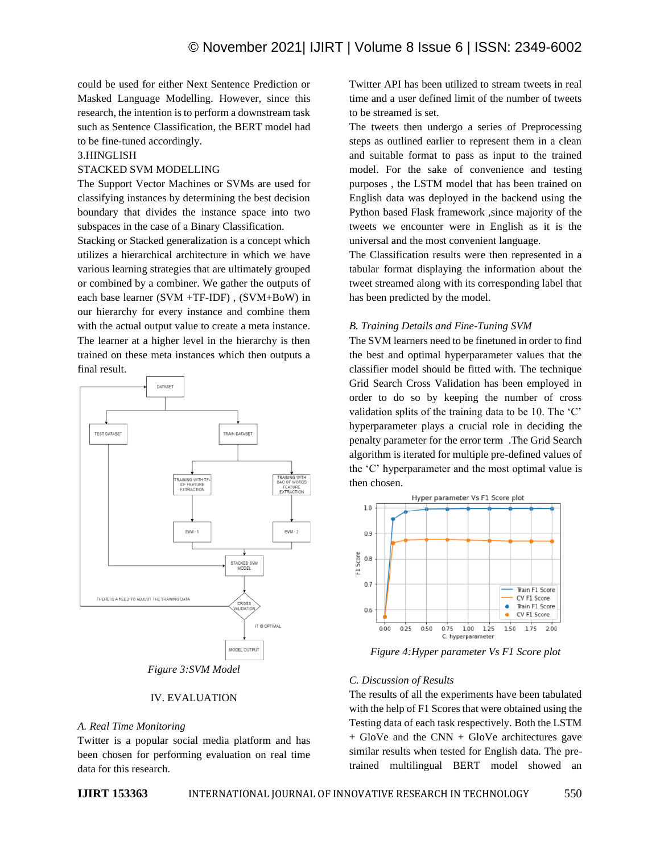could be used for either Next Sentence Prediction or Masked Language Modelling. However, since this research, the intention is to perform a downstream task such as Sentence Classification, the BERT model had to be fine-tuned accordingly.

#### 3.HINGLISH

#### STACKED SVM MODELLING

The Support Vector Machines or SVMs are used for classifying instances by determining the best decision boundary that divides the instance space into two subspaces in the case of a Binary Classification.

Stacking or Stacked generalization is a concept which utilizes a hierarchical architecture in which we have various learning strategies that are ultimately grouped or combined by a combiner. We gather the outputs of each base learner (SVM +TF-IDF) , (SVM+BoW) in our hierarchy for every instance and combine them with the actual output value to create a meta instance. The learner at a higher level in the hierarchy is then trained on these meta instances which then outputs a final result.



# *Figure 3:SVM Model*

#### IV. EVALUATION

## *A. Real Time Monitoring*

Twitter is a popular social media platform and has been chosen for performing evaluation on real time data for this research.

Twitter API has been utilized to stream tweets in real time and a user defined limit of the number of tweets to be streamed is set.

The tweets then undergo a series of Preprocessing steps as outlined earlier to represent them in a clean and suitable format to pass as input to the trained model. For the sake of convenience and testing purposes , the LSTM model that has been trained on English data was deployed in the backend using the Python based Flask framework ,since majority of the tweets we encounter were in English as it is the universal and the most convenient language.

The Classification results were then represented in a tabular format displaying the information about the tweet streamed along with its corresponding label that has been predicted by the model.

## *B. Training Details and Fine-Tuning SVM*

The SVM learners need to be finetuned in order to find the best and optimal hyperparameter values that the classifier model should be fitted with. The technique Grid Search Cross Validation has been employed in order to do so by keeping the number of cross validation splits of the training data to be 10. The 'C' hyperparameter plays a crucial role in deciding the penalty parameter for the error term .The Grid Search algorithm is iterated for multiple pre-defined values of the 'C' hyperparameter and the most optimal value is then chosen.



*Figure 4:Hyper parameter Vs F1 Score plot*

#### *C. Discussion of Results*

The results of all the experiments have been tabulated with the help of F1 Scores that were obtained using the Testing data of each task respectively. Both the LSTM  $+$  GloVe and the CNN  $+$  GloVe architectures gave similar results when tested for English data. The pretrained multilingual BERT model showed an